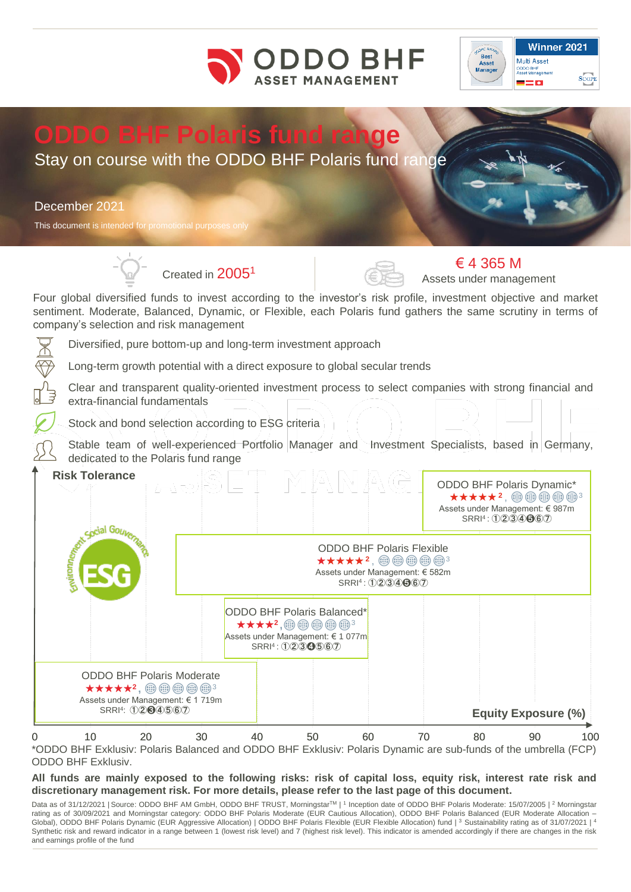



# **ODDO BHF Polaris fund range**

# Stay on course with the ODDO BHF Polaris fund range

## December 2021

This document is intended for promotional purpose





€ 4 365 M Assets under management

Four global diversified funds to invest according to the investor's risk profile, investment objective and market sentiment. Moderate, Balanced, Dynamic, or Flexible, each Polaris fund gathers the same scrutiny in terms of company's selection and risk management

Diversified, pure bottom-up and long-term investment approach

Long-term growth potential with a direct exposure to global secular trends

Clear and transparent quality-oriented investment process to select companies with strong financial and extra-financial fundamentals

Stock and bond selection according to ESG criteria

Stable team of well-experienced Portfolio Manager and Investment Specialists, based in Germany, dedicated to the Polaris fund range

|   | <b>Risk Tolerance</b><br><b>Experienced Government</b>                                       |                             |                                                                                                                     |                                                                        |                                             |    |    | <b>ODDO BHF Polaris Dynamic*</b><br>★★★★★2, ⑩⑩⑩⑩⑬3<br>Assets under Management: € 987m | SRRI <sup>4</sup> : 1234667 |                 |  |
|---|----------------------------------------------------------------------------------------------|-----------------------------|---------------------------------------------------------------------------------------------------------------------|------------------------------------------------------------------------|---------------------------------------------|----|----|---------------------------------------------------------------------------------------|-----------------------------|-----------------|--|
|   |                                                                                              |                             | <b>ODDO BHF Polaris Flexible</b><br>★★★★★?, 働働働働?<br>Assets under Management: € 582m<br>SRRI <sup>4</sup> : 1234667 |                                                                        |                                             |    |    |                                                                                       |                             |                 |  |
|   |                                                                                              |                             |                                                                                                                     | <b>ODDO BHF Polaris Balanced*</b><br>Assets under Management: € 1 077m | ★★★★2,⑩⑩⑩⑩⑩°<br>SRRI <sup>4</sup> : 1234567 |    |    |                                                                                       |                             |                 |  |
|   | <b>ODDO BHF Polaris Moderate</b><br>★★★★★2, ⑩ ⑩ ⑩ ⑲ ⑭ 3<br>Assets under Management: € 1 719m | SRRI <sup>4</sup> : 0204567 |                                                                                                                     |                                                                        |                                             |    |    |                                                                                       | <b>Equity Exposure (%)</b>  |                 |  |
| 0 | 10                                                                                           | 20                          | 30                                                                                                                  | 40                                                                     | 50                                          | 60 | 70 | 80                                                                                    | 90                          | 10 <sub>C</sub> |  |

\*ODDO BHF Exklusiv: Polaris Balanced and ODDO BHF Exklusiv: Polaris Dynamic are sub-funds of the umbrella (FCP) ODDO BHF Exklusiv.

All funds are mainly exposed to the following risks: risk of capital loss, equity risk, interest rate risk and **discretionary management risk. For more details, please refer to the last page of this document.**

Data as of 31/12/2021 | Source: ODDO BHF AM GmbH, ODDO BHF TRUST, Morningstar™ | 1 Inception date of ODDO BHF Polaris Moderate: 15/07/2005 | 2 Morningstar rating as of 30/09/2021 and Morningstar category: ODDO BHF Polaris Moderate (EUR Cautious Allocation), ODDO BHF Polaris Balanced (EUR Moderate Allocation – Global), ODDO BHF Polaris Dynamic (EUR Aggressive Allocation) | ODDO BHF Polaris Flexible (EUR Flexible Allocation) fund | 3 Sustainability rating as of 31/07/2021 | 4 Synthetic risk and reward indicator in a range between 1 (lowest risk level) and 7 (highest risk level). This indicator is amended accordingly if there are changes in the risk and earnings profile of the fund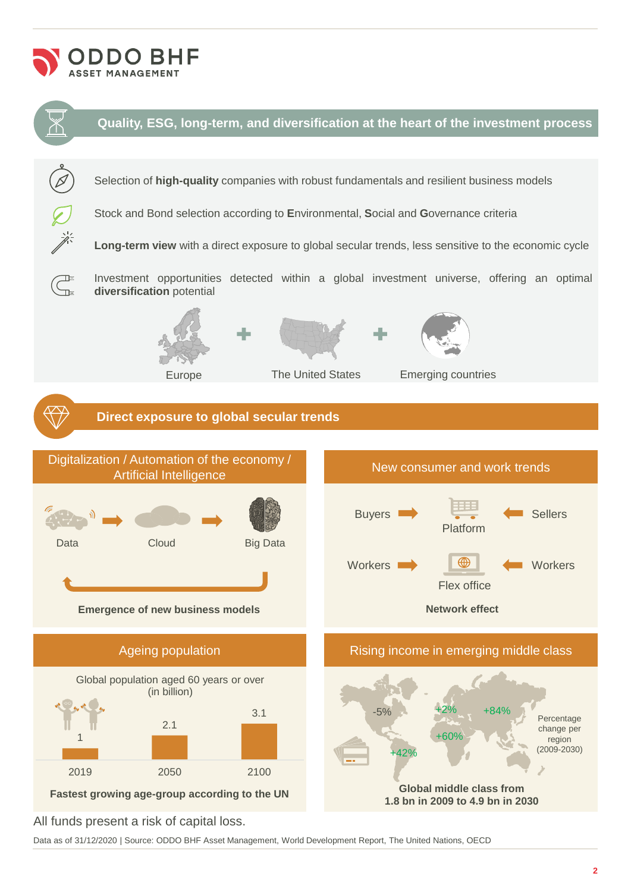



All funds present a risk of capital loss.

Data as of 31/12/2020 | Source: ODDO BHF Asset Management, World Development Report, The United Nations, OECD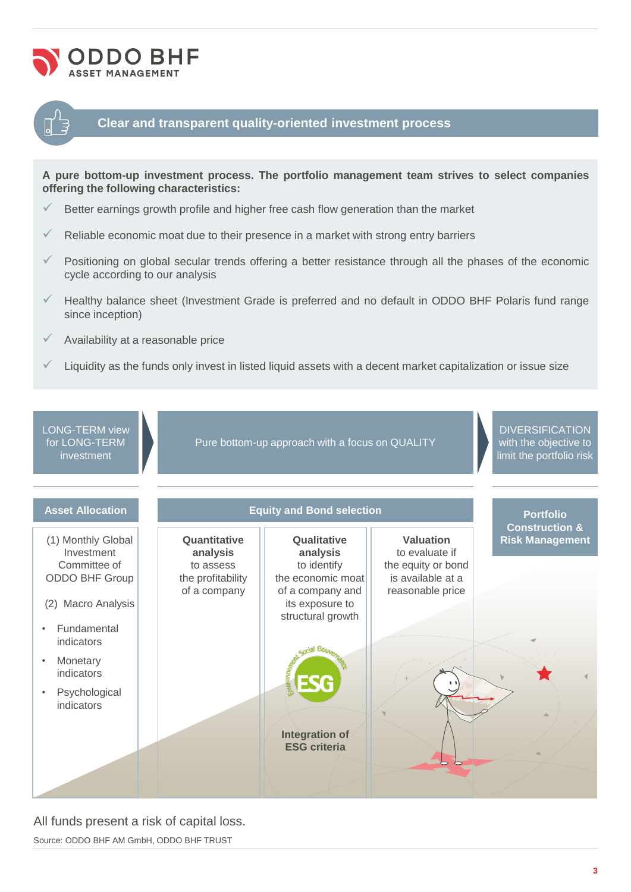



### **Clear and transparent quality-oriented investment process**

**A pure bottom-up investment process. The portfolio management team strives to select companies offering the following characteristics:**

- $\checkmark$  Better earnings growth profile and higher free cash flow generation than the market
- Reliable economic moat due to their presence in a market with strong entry barriers
- $\checkmark$  Positioning on global secular trends offering a better resistance through all the phases of the economic cycle according to our analysis
- Healthy balance sheet (Investment Grade is preferred and no default in ODDO BHF Polaris fund range since inception)
- Availability at a reasonable price
- Liquidity as the funds only invest in listed liquid assets with a decent market capitalization or issue size

LONG-TERM view for LONG-TERM investment

Pure bottom-up approach with a focus on QUALITY

**DIVERSIFICATION** with the objective to limit the portfolio risk



#### All funds present a risk of capital loss.

Source: ODDO BHF AM GmbH, ODDO BHF TRUST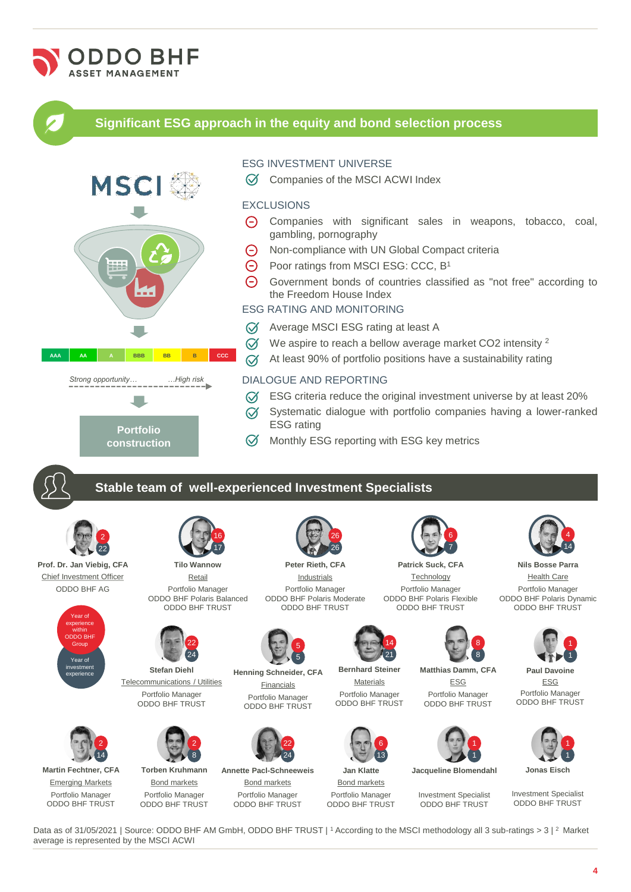

Data as of 31/05/2021 | Source: ODDO BHF AM GmbH, ODDO BHF TRUST | 1 According to the MSCI methodology all 3 sub-ratings > 3 | 2 Market average is represented by the MSCI ACWI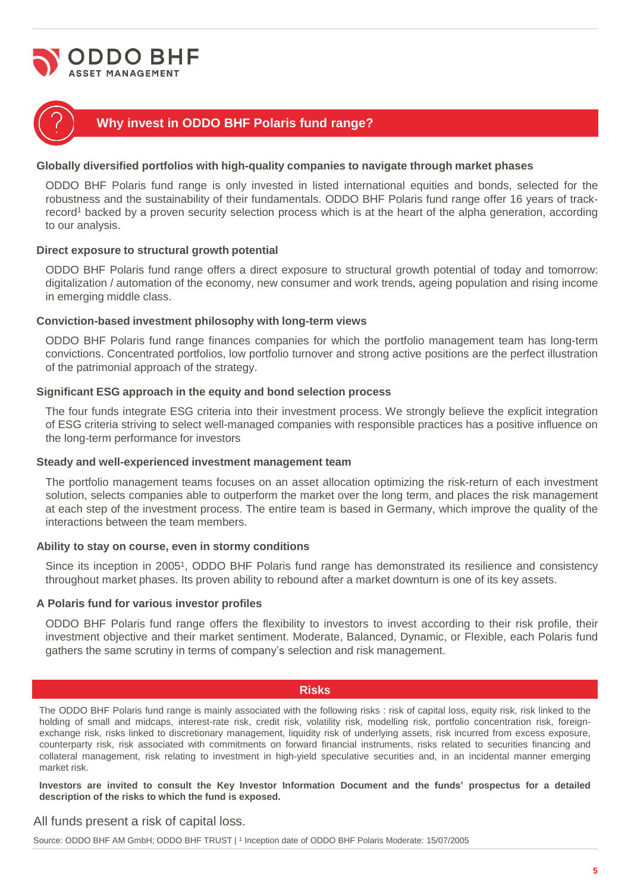



# **Why invest in ODDO BHF Polaris fund range?**

#### **Globally diversified portfolios with high-quality companies to navigate through market phases**

ODDO BHF Polaris fund range is only invested in listed international equities and bonds, selected for the robustness and the sustainability of their fundamentals. ODDO BHF Polaris fund range offer 16 years of trackrecord<sup>1</sup> backed by a proven security selection process which is at the heart of the alpha generation, according to our analysis.

#### **Direct exposure to structural growth potential**

ODDO BHF Polaris fund range offers a direct exposure to structural growth potential of today and tomorrow: digitalization / automation of the economy, new consumer and work trends, ageing population and rising income in emerging middle class.

#### **Conviction-based investment philosophy with long-term views**

ODDO BHF Polaris fund range finances companies for which the portfolio management team has long-term convictions. Concentrated portfolios, low portfolio turnover and strong active positions are the perfect illustration of the patrimonial approach of the strategy.

#### **Significant ESG approach in the equity and bond selection process**

The four funds integrate ESG criteria into their investment process. We strongly believe the explicit integration of ESG criteria striving to select well-managed companies with responsible practices has a positive influence on the long-term performance for investors

#### **Steady and well-experienced investment management team**

The portfolio management teams focuses on an asset allocation optimizing the risk-return of each investment solution, selects companies able to outperform the market over the long term, and places the risk management at each step of the investment process. The entire team is based in Germany, which improve the quality of the interactions between the team members.

#### **Ability to stay on course, even in stormy conditions**

Since its inception in 2005<sup>1</sup>, ODDO BHF Polaris fund range has demonstrated its resilience and consistency throughout market phases. Its proven ability to rebound after a market downturn is one of its key assets.

#### **A Polaris fund for various investor profiles**

ODDO BHF Polaris fund range offers the flexibility to investors to invest according to their risk profile, their investment objective and their market sentiment. Moderate, Balanced, Dynamic, or Flexible, each Polaris fund gathers the same scrutiny in terms of company's selection and risk management.

#### **Risks**

The ODDO BHF Polaris fund range is mainly associated with the following risks : risk of capital loss, equity risk, risk linked to the holding of small and midcaps, interest-rate risk, credit risk, volatility risk, modelling risk, portfolio concentration risk, foreignexchange risk, risks linked to discretionary management, liquidity risk of underlying assets, risk incurred from excess exposure, counterparty risk, risk associated with commitments on forward financial instruments, risks related to securities financing and collateral management, risk relating to investment in high-yield speculative securities and, in an incidental manner emerging market risk.

Investors are invited to consult the Key Investor Information Document and the funds' prospectus for a detailed **description of the risks to which the fund is exposed.**

#### All funds present a risk of capital loss.

Source: ODDO BHF AM GmbH; ODDO BHF TRUST | 1 Inception date of ODDO BHF Polaris Moderate: 15/07/2005